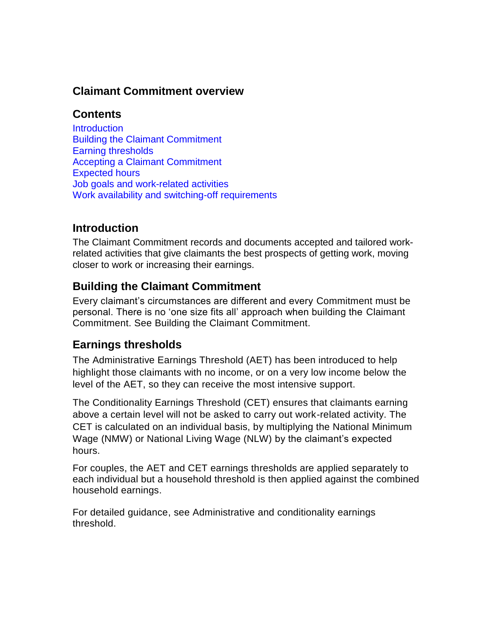## **Claimant Commitment overview**

### **Contents**

**[Introduction](#page-0-0)** [Building the Claimant Commitment](#page-0-1) [Earning thresholds](#page-0-2) [Accepting a Claimant Commitment](#page-1-0) [Expected hours](#page-2-0) [Job goals and work-related activities](#page-2-1) [Work availability and switching-off requirements](#page-2-2)

## <span id="page-0-0"></span>**Introduction**

The Claimant Commitment records and documents accepted and tailored workrelated activities that give claimants the best prospects of getting work, moving closer to work or increasing their earnings.

## <span id="page-0-1"></span>**Building the Claimant Commitment**

Every claimant's circumstances are different and every Commitment must be personal. There is no 'one size fits all' approach when building the Claimant Commitment. See Building the Claimant Commitment.

#### <span id="page-0-2"></span>**Earnings thresholds**

The Administrative Earnings Threshold (AET) has been introduced to help highlight those claimants with no income, or on a very low income below the level of the AET, so they can receive the most intensive support.

The Conditionality Earnings Threshold (CET) ensures that claimants earning above a certain level will not be asked to carry out work-related activity. The CET is calculated on an individual basis, by multiplying the National Minimum Wage (NMW) or National Living Wage (NLW) by the claimant's expected hours.

For couples, the AET and CET earnings thresholds are applied separately to each individual but a household threshold is then applied against the combined household earnings.

For detailed guidance, see Administrative and conditionality earnings threshold.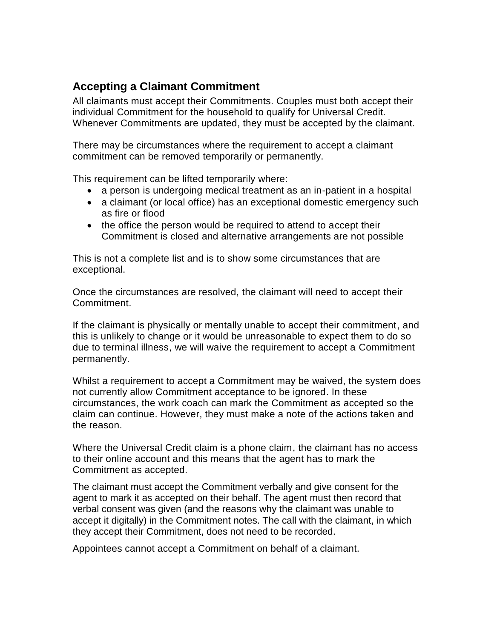# <span id="page-1-0"></span>**Accepting a Claimant Commitment**

All claimants must accept their Commitments. Couples must both accept their individual Commitment for the household to qualify for Universal Credit. Whenever Commitments are updated, they must be accepted by the claimant.

There may be circumstances where the requirement to accept a claimant commitment can be removed temporarily or permanently.

This requirement can be lifted temporarily where:

- a person is undergoing medical treatment as an in-patient in a hospital
- a claimant (or local office) has an exceptional domestic emergency such as fire or flood
- the office the person would be required to attend to accept their Commitment is closed and alternative arrangements are not possible

This is not a complete list and is to show some circumstances that are exceptional.

Once the circumstances are resolved, the claimant will need to accept their Commitment.

If the claimant is physically or mentally unable to accept their commitment, and this is unlikely to change or it would be unreasonable to expect them to do so due to terminal illness, we will waive the requirement to accept a Commitment permanently.

Whilst a requirement to accept a Commitment may be waived, the system does not currently allow Commitment acceptance to be ignored. In these circumstances, the work coach can mark the Commitment as accepted so the claim can continue. However, they must make a note of the actions taken and the reason.

Where the Universal Credit claim is a phone claim, the claimant has no access to their online account and this means that the agent has to mark the Commitment as accepted.

The claimant must accept the Commitment verbally and give consent for the agent to mark it as accepted on their behalf. The agent must then record that verbal consent was given (and the reasons why the claimant was unable to accept it digitally) in the Commitment notes. The call with the claimant, in which they accept their Commitment, does not need to be recorded.

Appointees cannot accept a Commitment on behalf of a claimant.